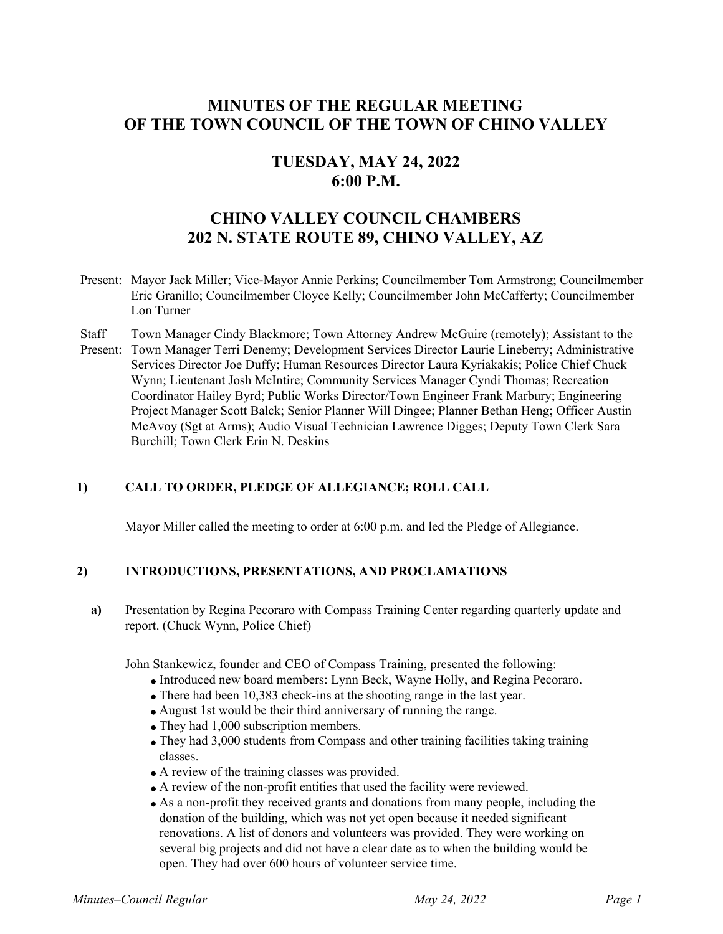# **MINUTES OF THE REGULAR MEETING OF THE TOWN COUNCIL OF THE TOWN OF CHINO VALLEY**

# **TUESDAY, MAY 24, 2022 6:00 P.M.**

# **CHINO VALLEY COUNCIL CHAMBERS 202 N. STATE ROUTE 89, CHINO VALLEY, AZ**

- Present: Mayor Jack Miller; Vice-Mayor Annie Perkins; Councilmember Tom Armstrong; Councilmember Eric Granillo; Councilmember Cloyce Kelly; Councilmember John McCafferty; Councilmember Lon Turner
- **Staff** Present: Town Manager Terri Denemy; Development Services Director Laurie Lineberry; Administrative Town Manager Cindy Blackmore; Town Attorney Andrew McGuire (remotely); Assistant to the Services Director Joe Duffy; Human Resources Director Laura Kyriakakis; Police Chief Chuck Wynn; Lieutenant Josh McIntire; Community Services Manager Cyndi Thomas; Recreation Coordinator Hailey Byrd; Public Works Director/Town Engineer Frank Marbury; Engineering Project Manager Scott Balck; Senior Planner Will Dingee; Planner Bethan Heng; Officer Austin McAvoy (Sgt at Arms); Audio Visual Technician Lawrence Digges; Deputy Town Clerk Sara Burchill; Town Clerk Erin N. Deskins

# **1) CALL TO ORDER, PLEDGE OF ALLEGIANCE; ROLL CALL**

Mayor Miller called the meeting to order at 6:00 p.m. and led the Pledge of Allegiance.

### **2) INTRODUCTIONS, PRESENTATIONS, AND PROCLAMATIONS**

**a)** Presentation by Regina Pecoraro with Compass Training Center regarding quarterly update and report. (Chuck Wynn, Police Chief)

John Stankewicz, founder and CEO of Compass Training, presented the following:

- Introduced new board members: Lynn Beck, Wayne Holly, and Regina Pecoraro.
- There had been 10,383 check-ins at the shooting range in the last year.
- August 1st would be their third anniversary of running the range.
- They had 1,000 subscription members.
- They had 3,000 students from Compass and other training facilities taking training classes.
- A review of the training classes was provided.
- A review of the non-profit entities that used the facility were reviewed.
- As a non-profit they received grants and donations from many people, including the donation of the building, which was not yet open because it needed significant renovations. A list of donors and volunteers was provided. They were working on several big projects and did not have a clear date as to when the building would be open. They had over 600 hours of volunteer service time.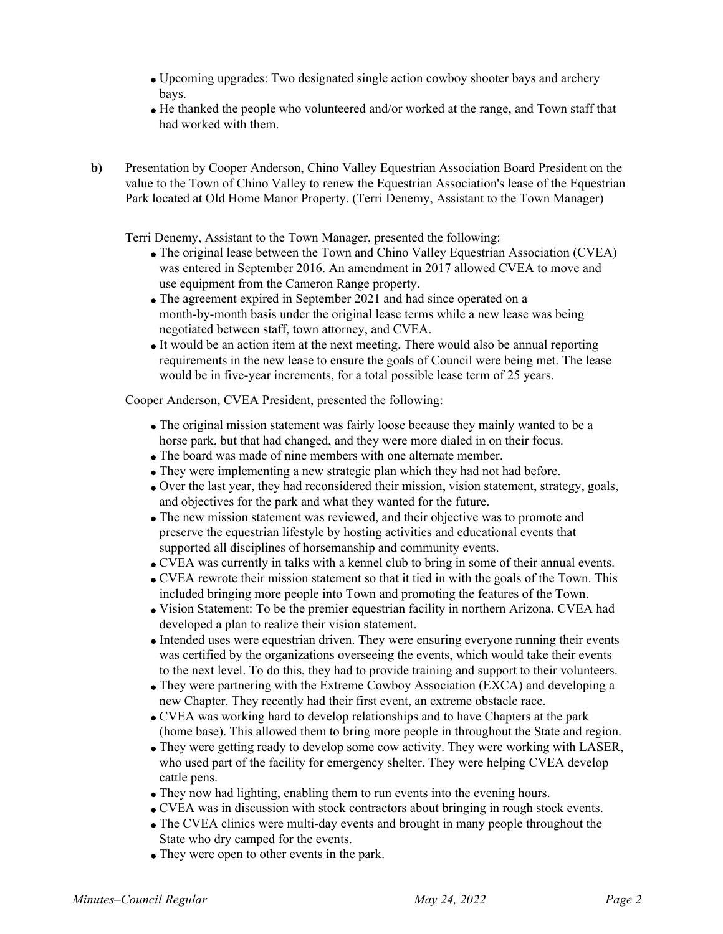- Upcoming upgrades: Two designated single action cowboy shooter bays and archery bays.
- He thanked the people who volunteered and/or worked at the range, and Town staff that had worked with them.
- **b)** Presentation by Cooper Anderson, Chino Valley Equestrian Association Board President on the value to the Town of Chino Valley to renew the Equestrian Association's lease of the Equestrian Park located at Old Home Manor Property. (Terri Denemy, Assistant to the Town Manager)

Terri Denemy, Assistant to the Town Manager, presented the following:

- The original lease between the Town and Chino Valley Equestrian Association (CVEA) was entered in September 2016. An amendment in 2017 allowed CVEA to move and use equipment from the Cameron Range property.
- The agreement expired in September 2021 and had since operated on a month-by-month basis under the original lease terms while a new lease was being negotiated between staff, town attorney, and CVEA.
- It would be an action item at the next meeting. There would also be annual reporting requirements in the new lease to ensure the goals of Council were being met. The lease would be in five-year increments, for a total possible lease term of 25 years.

Cooper Anderson, CVEA President, presented the following:

- The original mission statement was fairly loose because they mainly wanted to be a horse park, but that had changed, and they were more dialed in on their focus.
- The board was made of nine members with one alternate member.
- They were implementing a new strategic plan which they had not had before.
- Over the last year, they had reconsidered their mission, vision statement, strategy, goals, and objectives for the park and what they wanted for the future.
- The new mission statement was reviewed, and their objective was to promote and preserve the equestrian lifestyle by hosting activities and educational events that supported all disciplines of horsemanship and community events.
- CVEA was currently in talks with a kennel club to bring in some of their annual events.
- CVEA rewrote their mission statement so that it tied in with the goals of the Town. This included bringing more people into Town and promoting the features of the Town.
- Vision Statement: To be the premier equestrian facility in northern Arizona. CVEA had developed a plan to realize their vision statement.
- Intended uses were equestrian driven. They were ensuring everyone running their events was certified by the organizations overseeing the events, which would take their events to the next level. To do this, they had to provide training and support to their volunteers.
- They were partnering with the Extreme Cowboy Association (EXCA) and developing a new Chapter. They recently had their first event, an extreme obstacle race.
- CVEA was working hard to develop relationships and to have Chapters at the park (home base). This allowed them to bring more people in throughout the State and region.
- They were getting ready to develop some cow activity. They were working with LASER, who used part of the facility for emergency shelter. They were helping CVEA develop cattle pens.
- They now had lighting, enabling them to run events into the evening hours.
- CVEA was in discussion with stock contractors about bringing in rough stock events.
- The CVEA clinics were multi-day events and brought in many people throughout the State who dry camped for the events.
- They were open to other events in the park.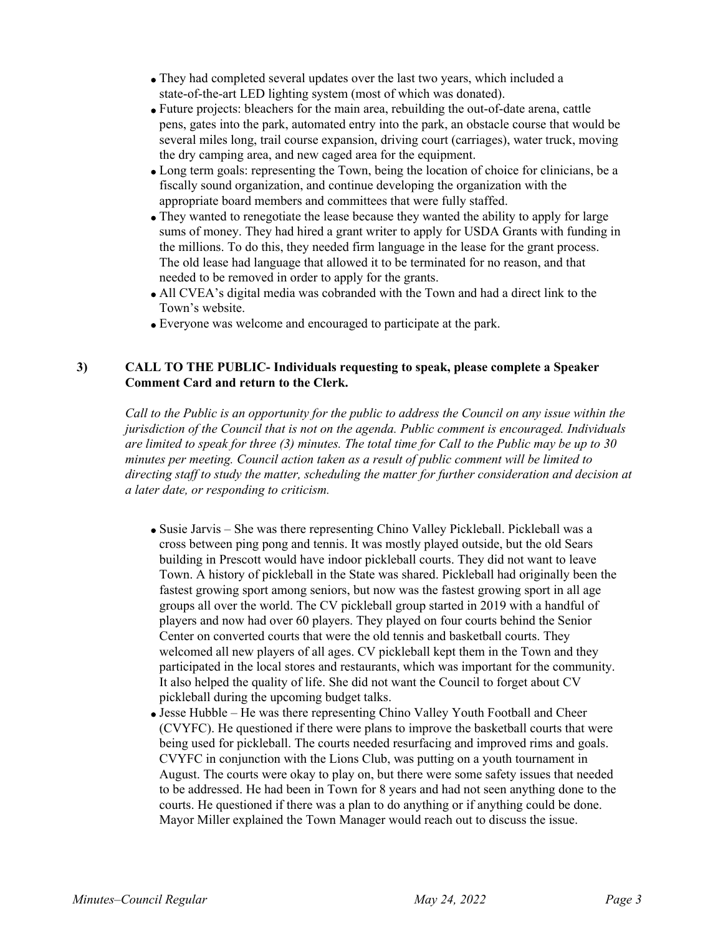- They had completed several updates over the last two years, which included a state-of-the-art LED lighting system (most of which was donated).
- Future projects: bleachers for the main area, rebuilding the out-of-date arena, cattle pens, gates into the park, automated entry into the park, an obstacle course that would be several miles long, trail course expansion, driving court (carriages), water truck, moving the dry camping area, and new caged area for the equipment.
- Long term goals: representing the Town, being the location of choice for clinicians, be a fiscally sound organization, and continue developing the organization with the appropriate board members and committees that were fully staffed.
- They wanted to renegotiate the lease because they wanted the ability to apply for large sums of money. They had hired a grant writer to apply for USDA Grants with funding in the millions. To do this, they needed firm language in the lease for the grant process. The old lease had language that allowed it to be terminated for no reason, and that needed to be removed in order to apply for the grants.
- All CVEA's digital media was cobranded with the Town and had a direct link to the Town's website.
- Everyone was welcome and encouraged to participate at the park.

## **3) CALL TO THE PUBLIC- Individuals requesting to speak, please complete a Speaker Comment Card and return to the Clerk.**

*Call to the Public is an opportunity for the public to address the Council on any issue within the jurisdiction of the Council that is not on the agenda. Public comment is encouraged. Individuals are limited to speak for three (3) minutes. The total time for Call to the Public may be up to 30 minutes per meeting. Council action taken as a result of public comment will be limited to directing staff to study the matter, scheduling the matter for further consideration and decision at a later date, or responding to criticism.* 

- Susie Jarvis She was there representing Chino Valley Pickleball. Pickleball was a cross between ping pong and tennis. It was mostly played outside, but the old Sears building in Prescott would have indoor pickleball courts. They did not want to leave Town. A history of pickleball in the State was shared. Pickleball had originally been the fastest growing sport among seniors, but now was the fastest growing sport in all age groups all over the world. The CV pickleball group started in 2019 with a handful of players and now had over 60 players. They played on four courts behind the Senior Center on converted courts that were the old tennis and basketball courts. They welcomed all new players of all ages. CV pickleball kept them in the Town and they participated in the local stores and restaurants, which was important for the community. It also helped the quality of life. She did not want the Council to forget about CV pickleball during the upcoming budget talks.
- Jesse Hubble He was there representing Chino Valley Youth Football and Cheer (CVYFC). He questioned if there were plans to improve the basketball courts that were being used for pickleball. The courts needed resurfacing and improved rims and goals. CVYFC in conjunction with the Lions Club, was putting on a youth tournament in August. The courts were okay to play on, but there were some safety issues that needed to be addressed. He had been in Town for 8 years and had not seen anything done to the courts. He questioned if there was a plan to do anything or if anything could be done. Mayor Miller explained the Town Manager would reach out to discuss the issue.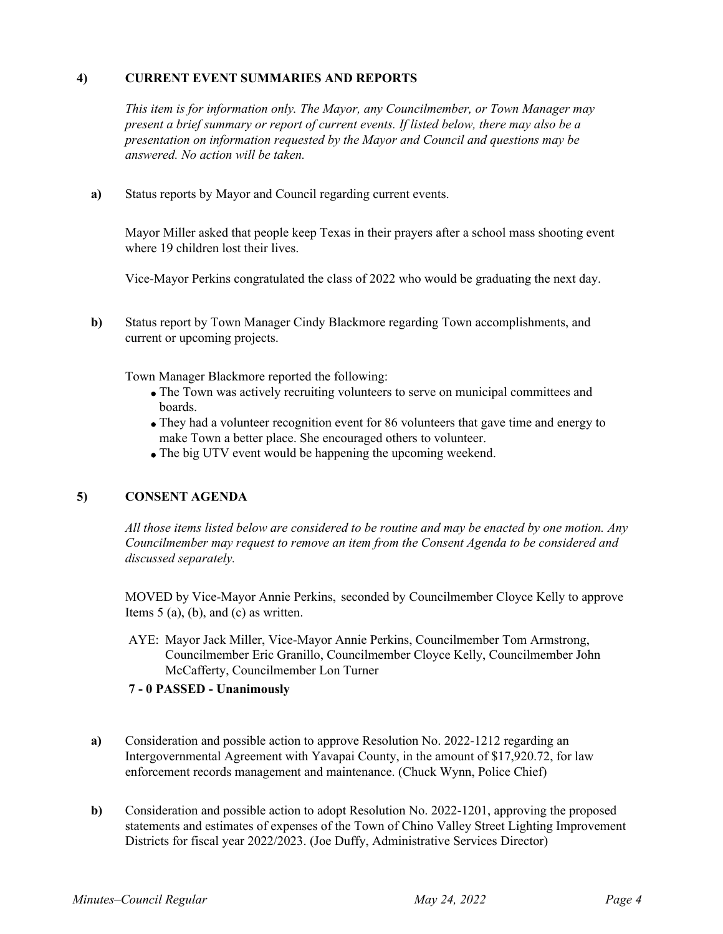# **4) CURRENT EVENT SUMMARIES AND REPORTS**

*This item is for information only. The Mayor, any Councilmember, or Town Manager may present a brief summary or report of current events. If listed below, there may also be a presentation on information requested by the Mayor and Council and questions may be answered. No action will be taken.*

**a)** Status reports by Mayor and Council regarding current events.

Mayor Miller asked that people keep Texas in their prayers after a school mass shooting event where 19 children lost their lives.

Vice-Mayor Perkins congratulated the class of 2022 who would be graduating the next day.

**b)** Status report by Town Manager Cindy Blackmore regarding Town accomplishments, and current or upcoming projects.

Town Manager Blackmore reported the following:

- The Town was actively recruiting volunteers to serve on municipal committees and boards.
- They had a volunteer recognition event for 86 volunteers that gave time and energy to make Town a better place. She encouraged others to volunteer.
- The big UTV event would be happening the upcoming weekend.

# **5) CONSENT AGENDA**

*All those items listed below are considered to be routine and may be enacted by one motion. Any Councilmember may request to remove an item from the Consent Agenda to be considered and discussed separately.*

MOVED by Vice-Mayor Annie Perkins, seconded by Councilmember Cloyce Kelly to approve Items  $5$  (a), (b), and (c) as written.

AYE: Mayor Jack Miller, Vice-Mayor Annie Perkins, Councilmember Tom Armstrong, Councilmember Eric Granillo, Councilmember Cloyce Kelly, Councilmember John McCafferty, Councilmember Lon Turner

### **7 - 0 PASSED - Unanimously**

- **a)** Consideration and possible action to approve Resolution No. 2022-1212 regarding an Intergovernmental Agreement with Yavapai County, in the amount of \$17,920.72, for law enforcement records management and maintenance. (Chuck Wynn, Police Chief)
- **b)** Consideration and possible action to adopt Resolution No. 2022-1201, approving the proposed statements and estimates of expenses of the Town of Chino Valley Street Lighting Improvement Districts for fiscal year 2022/2023. (Joe Duffy, Administrative Services Director)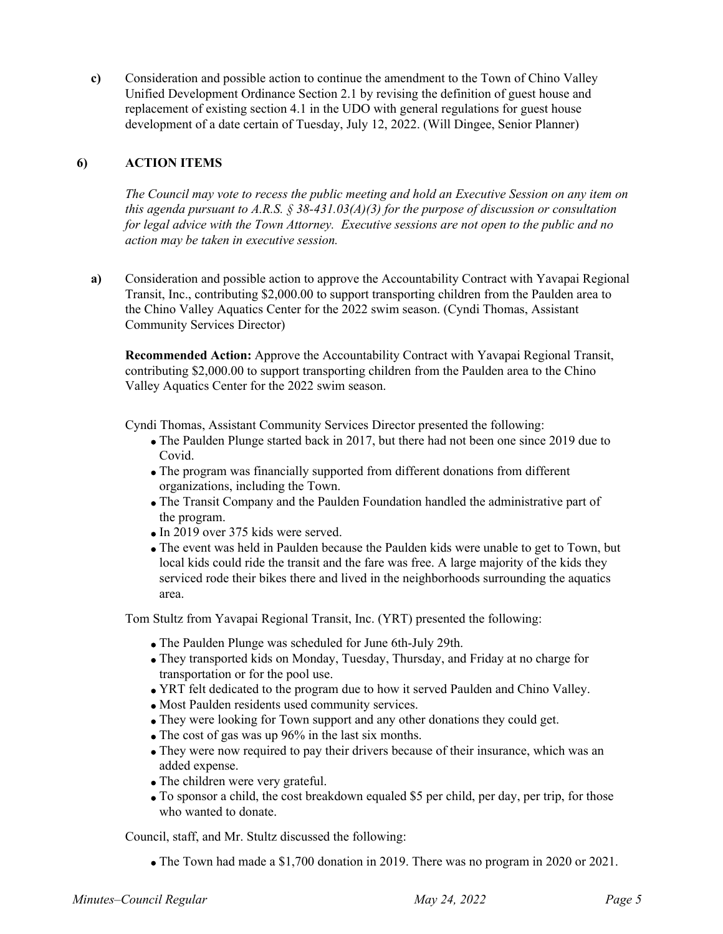**c)** Consideration and possible action to continue the amendment to the Town of Chino Valley Unified Development Ordinance Section 2.1 by revising the definition of guest house and replacement of existing section 4.1 in the UDO with general regulations for guest house development of a date certain of Tuesday, July 12, 2022. (Will Dingee, Senior Planner)

## **6) ACTION ITEMS**

*The Council may vote to recess the public meeting and hold an Executive Session on any item on this agenda pursuant to A.R.S. § 38-431.03(A)(3) for the purpose of discussion or consultation for legal advice with the Town Attorney. Executive sessions are not open to the public and no action may be taken in executive session.*

**a)** Consideration and possible action to approve the Accountability Contract with Yavapai Regional Transit, Inc., contributing \$2,000.00 to support transporting children from the Paulden area to the Chino Valley Aquatics Center for the 2022 swim season. (Cyndi Thomas, Assistant Community Services Director)

**Recommended Action:** Approve the Accountability Contract with Yavapai Regional Transit, contributing \$2,000.00 to support transporting children from the Paulden area to the Chino Valley Aquatics Center for the 2022 swim season.

Cyndi Thomas, Assistant Community Services Director presented the following:

- The Paulden Plunge started back in 2017, but there had not been one since 2019 due to Covid.
- The program was financially supported from different donations from different organizations, including the Town.
- The Transit Company and the Paulden Foundation handled the administrative part of the program.
- In 2019 over 375 kids were served.
- The event was held in Paulden because the Paulden kids were unable to get to Town, but local kids could ride the transit and the fare was free. A large majority of the kids they serviced rode their bikes there and lived in the neighborhoods surrounding the aquatics area.

Tom Stultz from Yavapai Regional Transit, Inc. (YRT) presented the following:

- The Paulden Plunge was scheduled for June 6th-July 29th.
- They transported kids on Monday, Tuesday, Thursday, and Friday at no charge for transportation or for the pool use.
- YRT felt dedicated to the program due to how it served Paulden and Chino Valley.
- Most Paulden residents used community services.
- They were looking for Town support and any other donations they could get.
- The cost of gas was up 96% in the last six months.
- They were now required to pay their drivers because of their insurance, which was an added expense.
- The children were very grateful.
- To sponsor a child, the cost breakdown equaled \$5 per child, per day, per trip, for those who wanted to donate.

Council, staff, and Mr. Stultz discussed the following:

The Town had made a \$1,700 donation in 2019. There was no program in 2020 or 2021.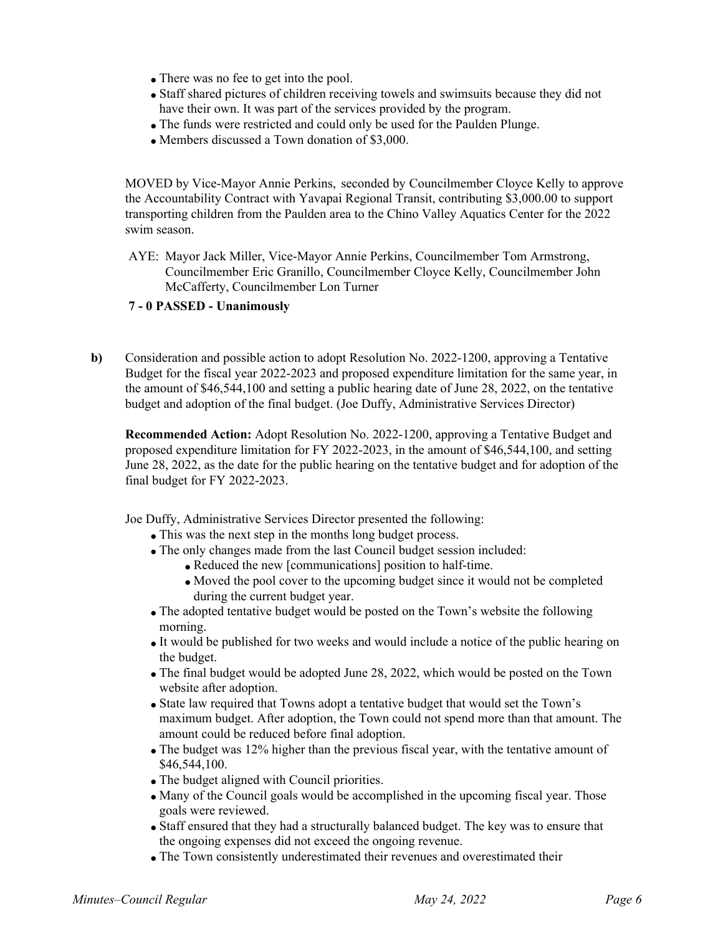- There was no fee to get into the pool.
- Staff shared pictures of children receiving towels and swimsuits because they did not have their own. It was part of the services provided by the program.
- The funds were restricted and could only be used for the Paulden Plunge.
- Members discussed a Town donation of \$3,000.

MOVED by Vice-Mayor Annie Perkins, seconded by Councilmember Cloyce Kelly to approve the Accountability Contract with Yavapai Regional Transit, contributing \$3,000.00 to support transporting children from the Paulden area to the Chino Valley Aquatics Center for the 2022 swim season.

AYE: Mayor Jack Miller, Vice-Mayor Annie Perkins, Councilmember Tom Armstrong, Councilmember Eric Granillo, Councilmember Cloyce Kelly, Councilmember John McCafferty, Councilmember Lon Turner

## **7 - 0 PASSED - Unanimously**

**b)** Consideration and possible action to adopt Resolution No. 2022-1200, approving a Tentative Budget for the fiscal year 2022-2023 and proposed expenditure limitation for the same year, in the amount of \$46,544,100 and setting a public hearing date of June 28, 2022, on the tentative budget and adoption of the final budget. (Joe Duffy, Administrative Services Director)

**Recommended Action:** Adopt Resolution No. 2022-1200, approving a Tentative Budget and proposed expenditure limitation for FY 2022-2023, in the amount of \$46,544,100, and setting June 28, 2022, as the date for the public hearing on the tentative budget and for adoption of the final budget for FY 2022-2023.

Joe Duffy, Administrative Services Director presented the following:

- This was the next step in the months long budget process.
- The only changes made from the last Council budget session included:
	- Reduced the new [communications] position to half-time.
	- Moved the pool cover to the upcoming budget since it would not be completed during the current budget year.
- The adopted tentative budget would be posted on the Town's website the following morning.
- It would be published for two weeks and would include a notice of the public hearing on the budget.
- The final budget would be adopted June 28, 2022, which would be posted on the Town website after adoption.
- State law required that Towns adopt a tentative budget that would set the Town's maximum budget. After adoption, the Town could not spend more than that amount. The amount could be reduced before final adoption.
- The budget was 12% higher than the previous fiscal year, with the tentative amount of \$46,544,100.
- The budget aligned with Council priorities.
- Many of the Council goals would be accomplished in the upcoming fiscal year. Those goals were reviewed.
- Staff ensured that they had a structurally balanced budget. The key was to ensure that the ongoing expenses did not exceed the ongoing revenue.
- The Town consistently underestimated their revenues and overestimated their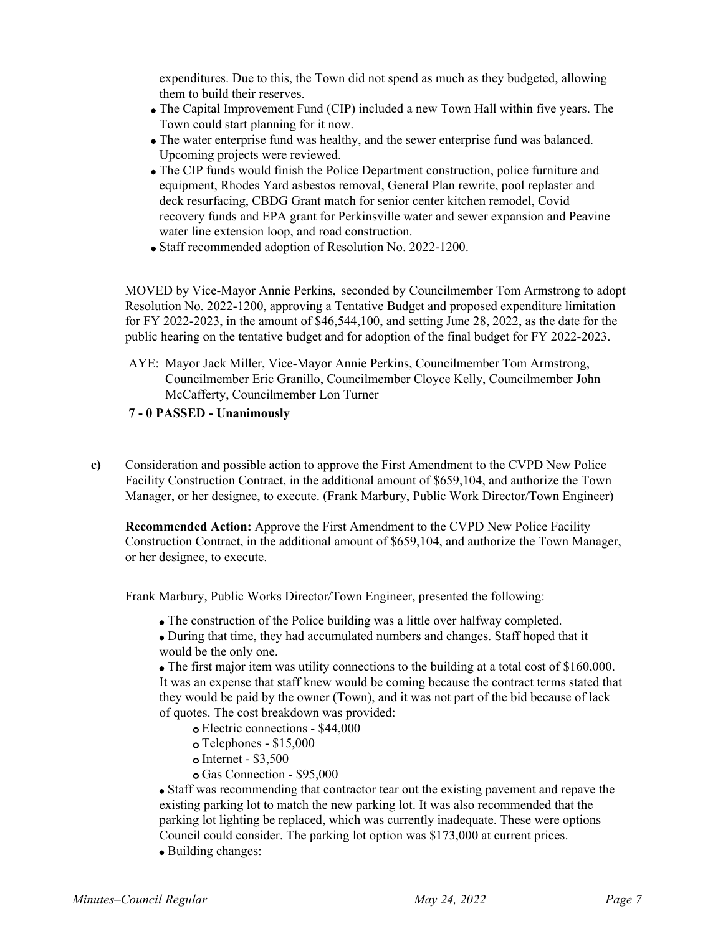expenditures. Due to this, the Town did not spend as much as they budgeted, allowing them to build their reserves.

- The Capital Improvement Fund (CIP) included a new Town Hall within five years. The Town could start planning for it now.
- The water enterprise fund was healthy, and the sewer enterprise fund was balanced. Upcoming projects were reviewed.
- The CIP funds would finish the Police Department construction, police furniture and equipment, Rhodes Yard asbestos removal, General Plan rewrite, pool replaster and deck resurfacing, CBDG Grant match for senior center kitchen remodel, Covid recovery funds and EPA grant for Perkinsville water and sewer expansion and Peavine water line extension loop, and road construction.
- Staff recommended adoption of Resolution No. 2022-1200.

MOVED by Vice-Mayor Annie Perkins, seconded by Councilmember Tom Armstrong to adopt Resolution No. 2022-1200, approving a Tentative Budget and proposed expenditure limitation for FY 2022-2023, in the amount of \$46,544,100, and setting June 28, 2022, as the date for the public hearing on the tentative budget and for adoption of the final budget for FY 2022-2023.

AYE: Mayor Jack Miller, Vice-Mayor Annie Perkins, Councilmember Tom Armstrong, Councilmember Eric Granillo, Councilmember Cloyce Kelly, Councilmember John McCafferty, Councilmember Lon Turner

### **7 - 0 PASSED - Unanimously**

**c)** Consideration and possible action to approve the First Amendment to the CVPD New Police Facility Construction Contract, in the additional amount of \$659,104, and authorize the Town Manager, or her designee, to execute. (Frank Marbury, Public Work Director/Town Engineer)

**Recommended Action:** Approve the First Amendment to the CVPD New Police Facility Construction Contract, in the additional amount of \$659,104, and authorize the Town Manager, or her designee, to execute.

Frank Marbury, Public Works Director/Town Engineer, presented the following:

The construction of the Police building was a little over halfway completed.

During that time, they had accumulated numbers and changes. Staff hoped that it would be the only one.

The first major item was utility connections to the building at a total cost of \$160,000. It was an expense that staff knew would be coming because the contract terms stated that they would be paid by the owner (Town), and it was not part of the bid because of lack of quotes. The cost breakdown was provided:

- Electric connections \$44,000 o
- Telephones \$15,000 o
- Internet \$3,500 o
- Gas Connection \$95,000 o

Staff was recommending that contractor tear out the existing pavement and repave the existing parking lot to match the new parking lot. It was also recommended that the parking lot lighting be replaced, which was currently inadequate. These were options Council could consider. The parking lot option was \$173,000 at current prices.

• Building changes: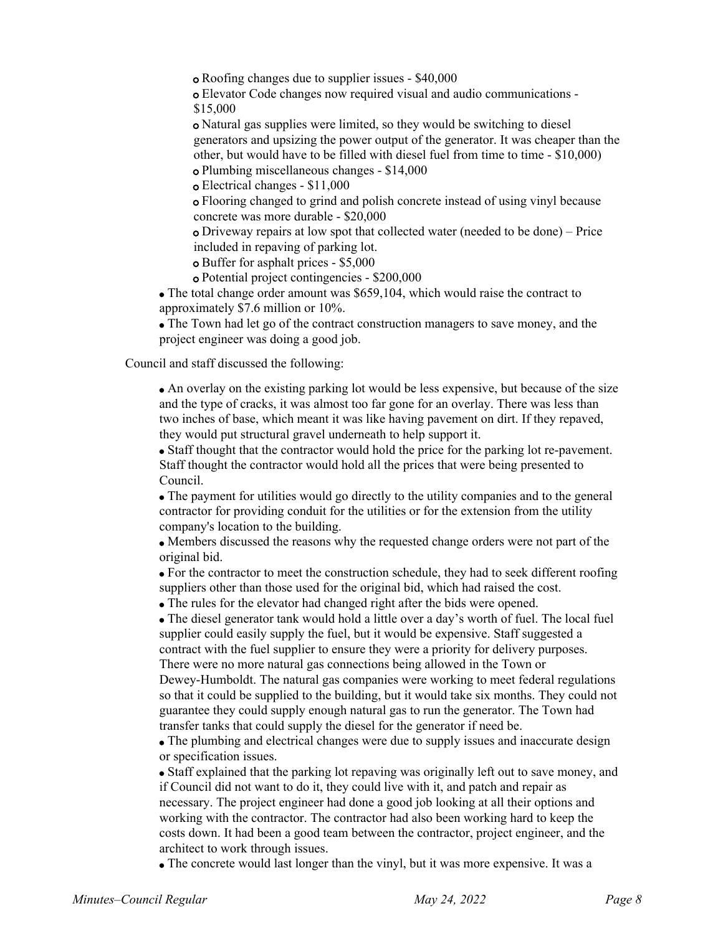Roofing changes due to supplier issues - \$40,000 o

Elevator Code changes now required visual and audio communications - o \$15,000

Natural gas supplies were limited, so they would be switching to diesel o generators and upsizing the power output of the generator. It was cheaper than the other, but would have to be filled with diesel fuel from time to time - \$10,000) Plumbing miscellaneous changes - \$14,000 o

Electrical changes - \$11,000 o

Flooring changed to grind and polish concrete instead of using vinyl because o concrete was more durable - \$20,000

Driveway repairs at low spot that collected water (needed to be done) – Price o included in repaving of parking lot.

Buffer for asphalt prices - \$5,000 o

Potential project contingencies - \$200,000 o

• The total change order amount was \$659,104, which would raise the contract to approximately \$7.6 million or 10%.

The Town had let go of the contract construction managers to save money, and the project engineer was doing a good job.

Council and staff discussed the following:

An overlay on the existing parking lot would be less expensive, but because of the size and the type of cracks, it was almost too far gone for an overlay. There was less than two inches of base, which meant it was like having pavement on dirt. If they repaved, they would put structural gravel underneath to help support it.

Staff thought that the contractor would hold the price for the parking lot re-pavement. Staff thought the contractor would hold all the prices that were being presented to Council.

The payment for utilities would go directly to the utility companies and to the general contractor for providing conduit for the utilities or for the extension from the utility company's location to the building.

Members discussed the reasons why the requested change orders were not part of the original bid.

For the contractor to meet the construction schedule, they had to seek different roofing suppliers other than those used for the original bid, which had raised the cost.

The rules for the elevator had changed right after the bids were opened.

The diesel generator tank would hold a little over a day's worth of fuel. The local fuel supplier could easily supply the fuel, but it would be expensive. Staff suggested a contract with the fuel supplier to ensure they were a priority for delivery purposes. There were no more natural gas connections being allowed in the Town or

Dewey-Humboldt. The natural gas companies were working to meet federal regulations so that it could be supplied to the building, but it would take six months. They could not guarantee they could supply enough natural gas to run the generator. The Town had transfer tanks that could supply the diesel for the generator if need be.

The plumbing and electrical changes were due to supply issues and inaccurate design or specification issues.

Staff explained that the parking lot repaving was originally left out to save money, and if Council did not want to do it, they could live with it, and patch and repair as necessary. The project engineer had done a good job looking at all their options and working with the contractor. The contractor had also been working hard to keep the costs down. It had been a good team between the contractor, project engineer, and the architect to work through issues.

The concrete would last longer than the vinyl, but it was more expensive. It was a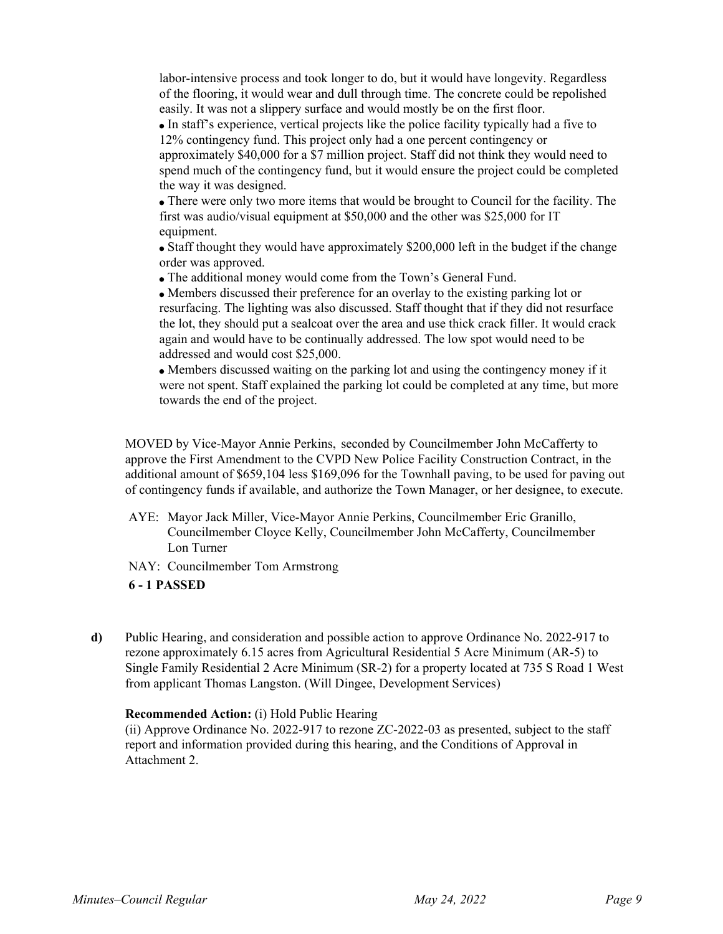labor-intensive process and took longer to do, but it would have longevity. Regardless of the flooring, it would wear and dull through time. The concrete could be repolished easily. It was not a slippery surface and would mostly be on the first floor.

In staff's experience, vertical projects like the police facility typically had a five to 12% contingency fund. This project only had a one percent contingency or approximately \$40,000 for a \$7 million project. Staff did not think they would need to spend much of the contingency fund, but it would ensure the project could be completed the way it was designed.

There were only two more items that would be brought to Council for the facility. The first was audio/visual equipment at \$50,000 and the other was \$25,000 for IT equipment.

Staff thought they would have approximately \$200,000 left in the budget if the change order was approved.

The additional money would come from the Town's General Fund.

Members discussed their preference for an overlay to the existing parking lot or resurfacing. The lighting was also discussed. Staff thought that if they did not resurface the lot, they should put a sealcoat over the area and use thick crack filler. It would crack again and would have to be continually addressed. The low spot would need to be addressed and would cost \$25,000.

Members discussed waiting on the parking lot and using the contingency money if it were not spent. Staff explained the parking lot could be completed at any time, but more towards the end of the project.

MOVED by Vice-Mayor Annie Perkins, seconded by Councilmember John McCafferty to approve the First Amendment to the CVPD New Police Facility Construction Contract, in the additional amount of \$659,104 less \$169,096 for the Townhall paving, to be used for paving out of contingency funds if available, and authorize the Town Manager, or her designee, to execute.

- AYE: Mayor Jack Miller, Vice-Mayor Annie Perkins, Councilmember Eric Granillo, Councilmember Cloyce Kelly, Councilmember John McCafferty, Councilmember Lon Turner
- NAY: Councilmember Tom Armstrong

# **6 - 1 PASSED**

**d)** Public Hearing, and consideration and possible action to approve Ordinance No. 2022-917 to rezone approximately 6.15 acres from Agricultural Residential 5 Acre Minimum (AR-5) to Single Family Residential 2 Acre Minimum (SR-2) for a property located at 735 S Road 1 West from applicant Thomas Langston. (Will Dingee, Development Services)

### **Recommended Action:** (i) Hold Public Hearing

(ii) Approve Ordinance No. 2022-917 to rezone ZC-2022-03 as presented, subject to the staff report and information provided during this hearing, and the Conditions of Approval in Attachment 2.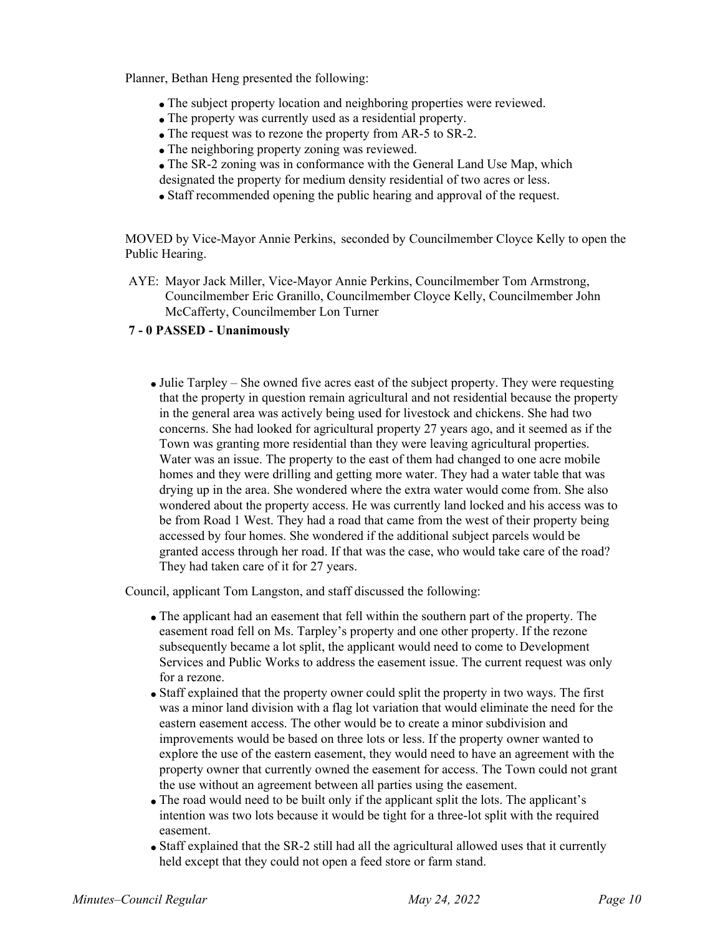Planner, Bethan Heng presented the following:

- The subject property location and neighboring properties were reviewed.
- The property was currently used as a residential property.
- The request was to rezone the property from AR-5 to SR-2.
- The neighboring property zoning was reviewed.
- The SR-2 zoning was in conformance with the General Land Use Map, which designated the property for medium density residential of two acres or less.
- Staff recommended opening the public hearing and approval of the request.

MOVED by Vice-Mayor Annie Perkins, seconded by Councilmember Cloyce Kelly to open the Public Hearing.

AYE: Mayor Jack Miller, Vice-Mayor Annie Perkins, Councilmember Tom Armstrong, Councilmember Eric Granillo, Councilmember Cloyce Kelly, Councilmember John McCafferty, Councilmember Lon Turner

## **7 - 0 PASSED - Unanimously**

Julie Tarpley – She owned five acres east of the subject property. They were requesting that the property in question remain agricultural and not residential because the property in the general area was actively being used for livestock and chickens. She had two concerns. She had looked for agricultural property 27 years ago, and it seemed as if the Town was granting more residential than they were leaving agricultural properties. Water was an issue. The property to the east of them had changed to one acre mobile homes and they were drilling and getting more water. They had a water table that was drying up in the area. She wondered where the extra water would come from. She also wondered about the property access. He was currently land locked and his access was to be from Road 1 West. They had a road that came from the west of their property being accessed by four homes. She wondered if the additional subject parcels would be granted access through her road. If that was the case, who would take care of the road? They had taken care of it for 27 years.

Council, applicant Tom Langston, and staff discussed the following:

- The applicant had an easement that fell within the southern part of the property. The easement road fell on Ms. Tarpley's property and one other property. If the rezone subsequently became a lot split, the applicant would need to come to Development Services and Public Works to address the easement issue. The current request was only for a rezone.
- Staff explained that the property owner could split the property in two ways. The first was a minor land division with a flag lot variation that would eliminate the need for the eastern easement access. The other would be to create a minor subdivision and improvements would be based on three lots or less. If the property owner wanted to explore the use of the eastern easement, they would need to have an agreement with the property owner that currently owned the easement for access. The Town could not grant the use without an agreement between all parties using the easement.
- The road would need to be built only if the applicant split the lots. The applicant's intention was two lots because it would be tight for a three-lot split with the required easement.
- Staff explained that the SR-2 still had all the agricultural allowed uses that it currently held except that they could not open a feed store or farm stand.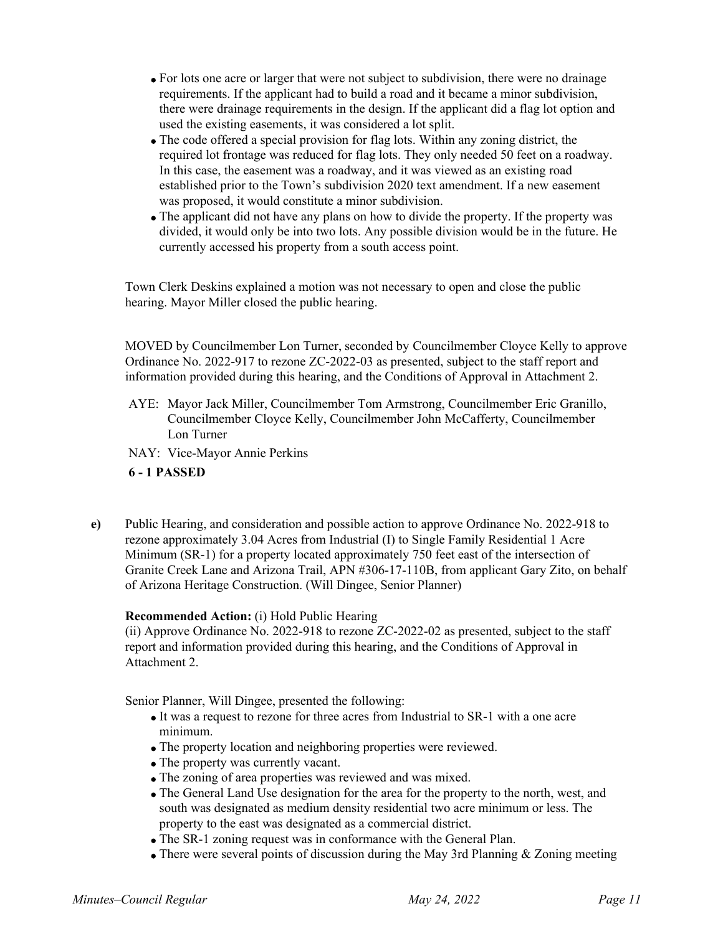- For lots one acre or larger that were not subject to subdivision, there were no drainage requirements. If the applicant had to build a road and it became a minor subdivision, there were drainage requirements in the design. If the applicant did a flag lot option and used the existing easements, it was considered a lot split.
- The code offered a special provision for flag lots. Within any zoning district, the required lot frontage was reduced for flag lots. They only needed 50 feet on a roadway. In this case, the easement was a roadway, and it was viewed as an existing road established prior to the Town's subdivision 2020 text amendment. If a new easement was proposed, it would constitute a minor subdivision.
- The applicant did not have any plans on how to divide the property. If the property was divided, it would only be into two lots. Any possible division would be in the future. He currently accessed his property from a south access point.

Town Clerk Deskins explained a motion was not necessary to open and close the public hearing. Mayor Miller closed the public hearing.

MOVED by Councilmember Lon Turner, seconded by Councilmember Cloyce Kelly to approve Ordinance No. 2022-917 to rezone ZC-2022-03 as presented, subject to the staff report and information provided during this hearing, and the Conditions of Approval in Attachment 2.

- AYE: Mayor Jack Miller, Councilmember Tom Armstrong, Councilmember Eric Granillo, Councilmember Cloyce Kelly, Councilmember John McCafferty, Councilmember Lon Turner
- NAY: Vice-Mayor Annie Perkins

# **6 - 1 PASSED**

**e)** Public Hearing, and consideration and possible action to approve Ordinance No. 2022-918 to rezone approximately 3.04 Acres from Industrial (I) to Single Family Residential 1 Acre Minimum (SR-1) for a property located approximately 750 feet east of the intersection of Granite Creek Lane and Arizona Trail, APN #306-17-110B, from applicant Gary Zito, on behalf of Arizona Heritage Construction. (Will Dingee, Senior Planner)

### **Recommended Action:** (i) Hold Public Hearing

(ii) Approve Ordinance No. 2022-918 to rezone ZC-2022-02 as presented, subject to the staff report and information provided during this hearing, and the Conditions of Approval in Attachment 2.

Senior Planner, Will Dingee, presented the following:

- It was a request to rezone for three acres from Industrial to SR-1 with a one acre minimum.
- The property location and neighboring properties were reviewed.
- The property was currently vacant.
- The zoning of area properties was reviewed and was mixed.
- The General Land Use designation for the area for the property to the north, west, and south was designated as medium density residential two acre minimum or less. The property to the east was designated as a commercial district.
- The SR-1 zoning request was in conformance with the General Plan.
- There were several points of discussion during the May 3rd Planning & Zoning meeting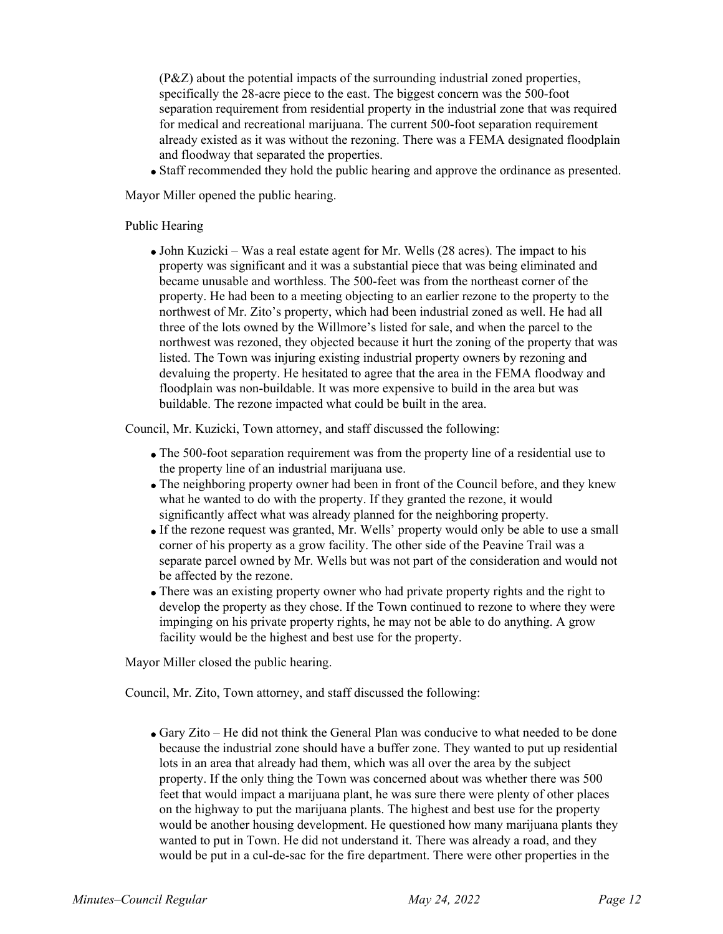(P&Z) about the potential impacts of the surrounding industrial zoned properties, specifically the 28-acre piece to the east. The biggest concern was the 500-foot separation requirement from residential property in the industrial zone that was required for medical and recreational marijuana. The current 500-foot separation requirement already existed as it was without the rezoning. There was a FEMA designated floodplain and floodway that separated the properties.

Staff recommended they hold the public hearing and approve the ordinance as presented.

Mayor Miller opened the public hearing.

### Public Hearing

John Kuzicki – Was a real estate agent for Mr. Wells (28 acres). The impact to his property was significant and it was a substantial piece that was being eliminated and became unusable and worthless. The 500-feet was from the northeast corner of the property. He had been to a meeting objecting to an earlier rezone to the property to the northwest of Mr. Zito's property, which had been industrial zoned as well. He had all three of the lots owned by the Willmore's listed for sale, and when the parcel to the northwest was rezoned, they objected because it hurt the zoning of the property that was listed. The Town was injuring existing industrial property owners by rezoning and devaluing the property. He hesitated to agree that the area in the FEMA floodway and floodplain was non-buildable. It was more expensive to build in the area but was buildable. The rezone impacted what could be built in the area.

Council, Mr. Kuzicki, Town attorney, and staff discussed the following:

- The 500-foot separation requirement was from the property line of a residential use to the property line of an industrial marijuana use.
- The neighboring property owner had been in front of the Council before, and they knew what he wanted to do with the property. If they granted the rezone, it would significantly affect what was already planned for the neighboring property.
- If the rezone request was granted, Mr. Wells' property would only be able to use a small corner of his property as a grow facility. The other side of the Peavine Trail was a separate parcel owned by Mr. Wells but was not part of the consideration and would not be affected by the rezone.
- There was an existing property owner who had private property rights and the right to develop the property as they chose. If the Town continued to rezone to where they were impinging on his private property rights, he may not be able to do anything. A grow facility would be the highest and best use for the property.

Mayor Miller closed the public hearing.

Council, Mr. Zito, Town attorney, and staff discussed the following:

Gary Zito – He did not think the General Plan was conducive to what needed to be done because the industrial zone should have a buffer zone. They wanted to put up residential lots in an area that already had them, which was all over the area by the subject property. If the only thing the Town was concerned about was whether there was 500 feet that would impact a marijuana plant, he was sure there were plenty of other places on the highway to put the marijuana plants. The highest and best use for the property would be another housing development. He questioned how many marijuana plants they wanted to put in Town. He did not understand it. There was already a road, and they would be put in a cul-de-sac for the fire department. There were other properties in the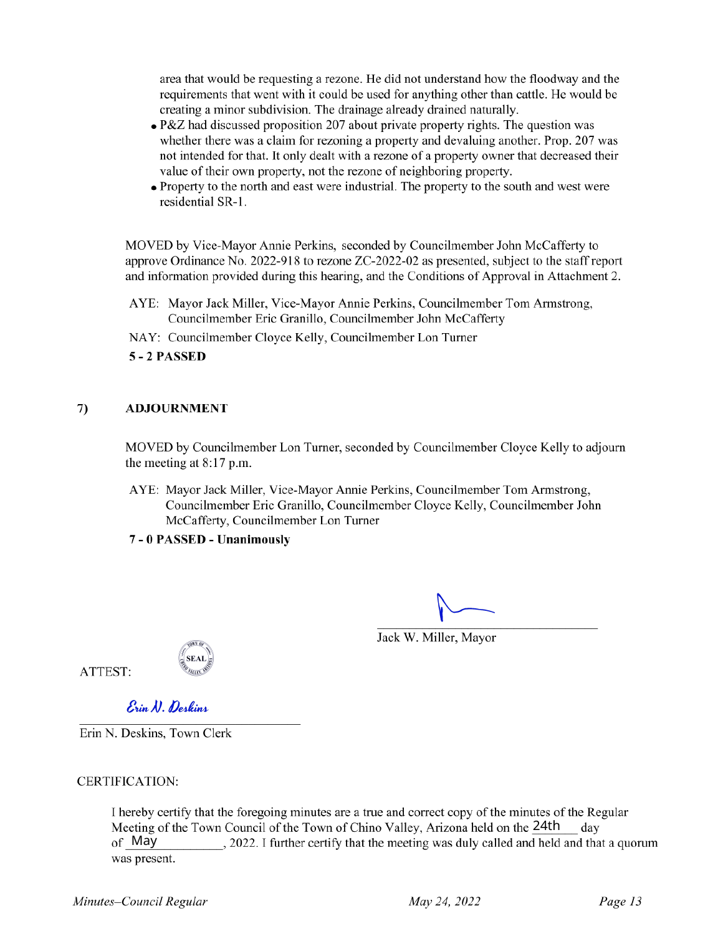area that would be requesting a rezone. He did not understand how the floodway and the requirements that went with it could be used for anything other than cattle. He would be creating a minor subdivision. The drainage already drained naturally.

- P&Z had discussed proposition 207 about private property rights. The question was whether there was a claim for rezoning a property and devaluing another. Prop. 207 was not intended for that. It only dealt with a rezone of a property owner that decreased their value of their own property, not the rezone of neighboring property.
- Property to the north and east were industrial. The property to the south and west were residential SR-1.

MOVED by Vice-Mayor Annie Perkins, seconded by Councilmember John McCafferty to approve Ordinance No. 2022-918 to rezone ZC-2022-02 as presented, subject to the staff report and information provided during this hearing, and the Conditions of Approval in Attachment 2.

- AYE: Mayor Jack Miller, Vice-Mayor Annie Perkins, Councilmember Tom Armstrong, Councilmember Eric Granillo, Councilmember John McCafferty
- NAY: Councilmember Cloyce Kelly, Councilmember Lon Turner
- **5 - 2 PASSED**

## **7) ADJOURNMENT**

MOVED by Councilmember Lon Turner, seconded by Councilmember Cloyce Kelly to adjourn the meeting at 8:17 p.m.

AYE: Mayor Jack Miller, Vice-Mayor Annie Perkins, Councilmember Tom Armstrong, Councilmember Eric Granillo,Councilmember Cloyce Kelly, Councilmember John McCafferty, Councilmember Lon Turner

**7 - 0 PASSED - Unanimously**

Jack W. Miller, Mayor



*S' unA).{jedtuiA*

Erin N. Deskins, Town Clerk

CERTIFICATION:

Meeting of the Town Council of the Town of Chino Valley, Arizona held on the 24th of May I hereby certify that the foregoing minutes are a true and correct copy of the minutes of the Regular , 2022.1 further certify that the meeting was duly called and held and that a quorum day was present.